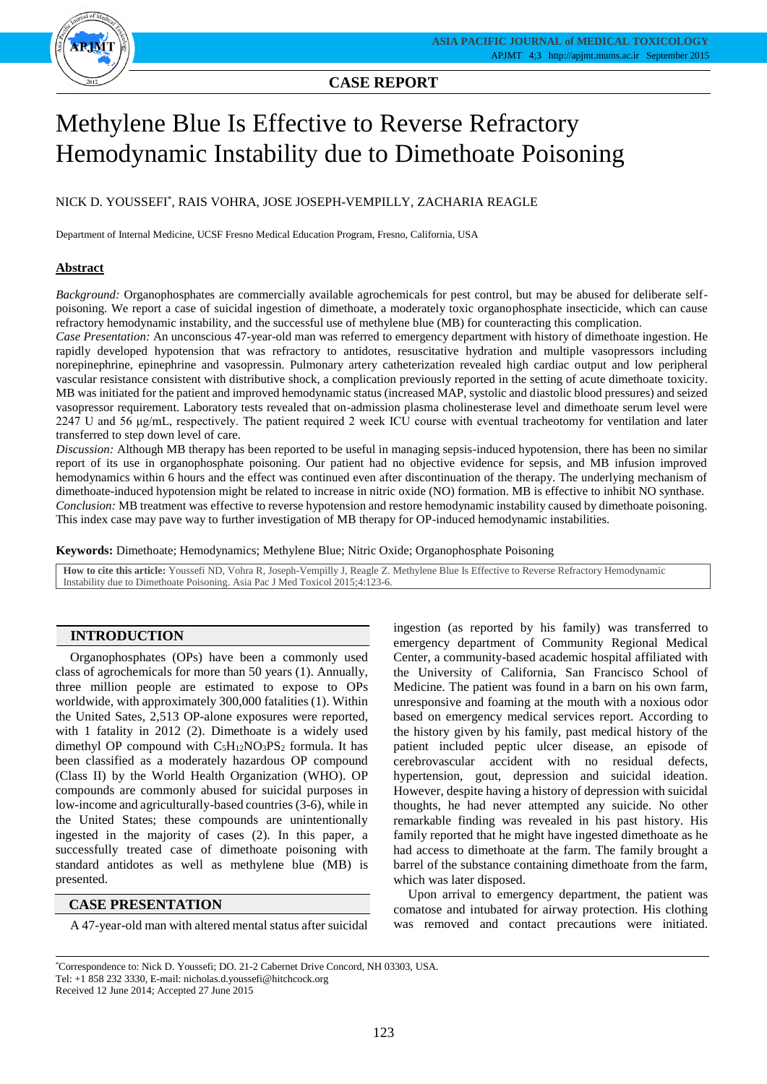

## **CASE REPORT**

# Methylene Blue Is Effective to Reverse Refractory Hemodynamic Instability due to Dimethoate Poisoning

## NICK D. YOUSSEFI\* , RAIS VOHRA, JOSE JOSEPH-VEMPILLY, ZACHARIA REAGLE

Department of Internal Medicine, UCSF Fresno Medical Education Program, Fresno, California, USA

## **Abstract**

*Background:* Organophosphates are commercially available agrochemicals for pest control, but may be abused for deliberate selfpoisoning. We report a case of suicidal ingestion of dimethoate, a moderately toxic organophosphate insecticide, which can cause refractory hemodynamic instability, and the successful use of methylene blue (MB) for counteracting this complication.

*Case Presentation:* An unconscious 47-year-old man was referred to emergency department with history of dimethoate ingestion. He rapidly developed hypotension that was refractory to antidotes, resuscitative hydration and multiple vasopressors including norepinephrine, epinephrine and vasopressin. Pulmonary artery catheterization revealed high cardiac output and low peripheral vascular resistance consistent with distributive shock, a complication previously reported in the setting of acute dimethoate toxicity. MB was initiated for the patient and improved hemodynamic status (increased MAP, systolic and diastolic blood pressures) and seized vasopressor requirement. Laboratory tests revealed that on-admission plasma cholinesterase level and dimethoate serum level were 2247 U and 56 μg/mL, respectively. The patient required 2 week ICU course with eventual tracheotomy for ventilation and later transferred to step down level of care.

*Discussion:* Although MB therapy has been reported to be useful in managing sepsis-induced hypotension, there has been no similar report of its use in organophosphate poisoning. Our patient had no objective evidence for sepsis, and MB infusion improved hemodynamics within 6 hours and the effect was continued even after discontinuation of the therapy. The underlying mechanism of dimethoate-induced hypotension might be related to increase in nitric oxide (NO) formation. MB is effective to inhibit NO synthase. *Conclusion:* MB treatment was effective to reverse hypotension and restore hemodynamic instability caused by dimethoate poisoning. This index case may pave way to further investigation of MB therapy for OP-induced hemodynamic instabilities.

**Keywords:** Dimethoate; Hemodynamics; Methylene Blue; Nitric Oxide; Organophosphate Poisoning

**How to cite this article:** Youssefi ND, Vohra R, Joseph-Vempilly J, Reagle Z. Methylene Blue Is Effective to Reverse Refractory Hemodynamic Instability due to Dimethoate Poisoning. Asia Pac J Med Toxicol 2015;4:123-6.

## **INTRODUCTION**

Organophosphates (OPs) have been a commonly used class of agrochemicals for more than 50 years (1). Annually, three million people are estimated to expose to OPs worldwide, with approximately 300,000 fatalities (1). Within the United Sates, 2,513 OP-alone exposures were reported, with 1 fatality in 2012 (2). Dimethoate is a widely used dimethyl OP compound with  $C_5H_{12}NO_3PS_2$  formula. It has been classified as a moderately hazardous OP compound (Class II) by the World Health Organization (WHO). OP compounds are commonly abused for suicidal purposes in low-income and agriculturally-based countries (3-6), while in the United States; these compounds are unintentionally ingested in the majority of cases (2). In this paper, a successfully treated case of dimethoate poisoning with standard antidotes as well as methylene blue (MB) is presented.

#### **CASE PRESENTATION**

A 47-year-old man with altered mental status after suicidal

ingestion (as reported by his family) was transferred to emergency department of Community Regional Medical Center, a community-based academic hospital affiliated with the University of California, San Francisco School of Medicine. The patient was found in a barn on his own farm, unresponsive and foaming at the mouth with a noxious odor based on emergency medical services report. According to the history given by his family, past medical history of the patient included peptic ulcer disease, an episode of cerebrovascular accident with no residual defects, hypertension, gout, depression and suicidal ideation. However, despite having a history of depression with suicidal thoughts, he had never attempted any suicide. No other remarkable finding was revealed in his past history. His family reported that he might have ingested dimethoate as he had access to dimethoate at the farm. The family brought a barrel of the substance containing dimethoate from the farm, which was later disposed.

Upon arrival to emergency department, the patient was comatose and intubated for airway protection. His clothing was removed and contact precautions were initiated.

\*Correspondence to: Nick D. Youssefi; DO. 21-2 Cabernet Drive Concord, NH 03303, USA. Tel: +1 858 232 3330, E-mail: nicholas.d.youssefi@hitchcock.org Received 12 June 2014; Accepted 27 June 2015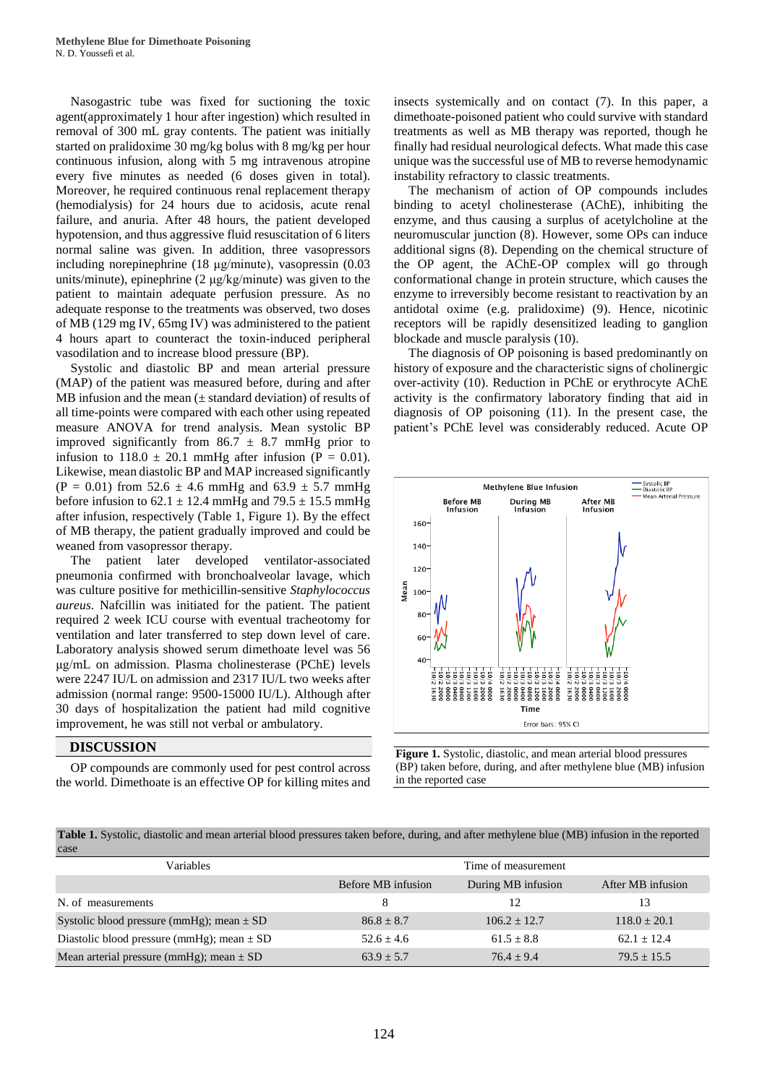Nasogastric tube was fixed for suctioning the toxic agent(approximately 1 hour after ingestion) which resulted in removal of 300 mL gray contents. The patient was initially started on pralidoxime 30 mg/kg bolus with 8 mg/kg per hour continuous infusion, along with 5 mg intravenous atropine every five minutes as needed (6 doses given in total). Moreover, he required continuous renal replacement therapy (hemodialysis) for 24 hours due to acidosis, acute renal failure, and anuria. After 48 hours, the patient developed hypotension, and thus aggressive fluid resuscitation of 6 liters normal saline was given. In addition, three vasopressors including norepinephrine (18 μg/minute), vasopressin (0.03 units/minute), epinephrine (2 μg/kg/minute) was given to the patient to maintain adequate perfusion pressure. As no adequate response to the treatments was observed, two doses of MB (129 mg IV, 65mg IV) was administered to the patient 4 hours apart to counteract the toxin-induced peripheral vasodilation and to increase blood pressure (BP).

Systolic and diastolic BP and mean arterial pressure (MAP) of the patient was measured before, during and after MB infusion and the mean  $(\pm$  standard deviation) of results of all time-points were compared with each other using repeated measure ANOVA for trend analysis. Mean systolic BP improved significantly from  $86.7 \pm 8.7$  mmHg prior to infusion to  $118.0 \pm 20.1$  mmHg after infusion (P = 0.01). Likewise, mean diastolic BP and MAP increased significantly  $(P = 0.01)$  from 52.6  $\pm$  4.6 mmHg and 63.9  $\pm$  5.7 mmHg before infusion to  $62.1 \pm 12.4$  mmHg and  $79.5 \pm 15.5$  mmHg after infusion, respectively (Table 1, Figure 1). By the effect of MB therapy, the patient gradually improved and could be weaned from vasopressor therapy.

The patient later developed ventilator-associated pneumonia confirmed with bronchoalveolar lavage, which was culture positive for methicillin-sensitive *Staphylococcus aureus*. Nafcillin was initiated for the patient. The patient required 2 week ICU course with eventual tracheotomy for ventilation and later transferred to step down level of care. Laboratory analysis showed serum dimethoate level was 56 μg/mL on admission. Plasma cholinesterase (PChE) levels were 2247 IU/L on admission and 2317 IU/L two weeks after admission (normal range: 9500-15000 IU/L). Although after 30 days of hospitalization the patient had mild cognitive improvement, he was still not verbal or ambulatory.

#### **DISCUSSION**

OP compounds are commonly used for pest control across the world. Dimethoate is an effective OP for killing mites and insects systemically and on contact (7). In this paper, a dimethoate-poisoned patient who could survive with standard treatments as well as MB therapy was reported, though he finally had residual neurological defects. What made this case unique was the successful use of MB to reverse hemodynamic instability refractory to classic treatments.

The mechanism of action of OP compounds includes binding to acetyl cholinesterase (AChE), inhibiting the enzyme, and thus causing a surplus of acetylcholine at the neuromuscular junction (8). However, some OPs can induce additional signs (8). Depending on the chemical structure of the OP agent, the AChE-OP complex will go through conformational change in protein structure, which causes the enzyme to irreversibly become resistant to reactivation by an antidotal oxime (e.g. pralidoxime) (9). Hence, nicotinic receptors will be rapidly desensitized leading to ganglion blockade and muscle paralysis (10).

The diagnosis of OP poisoning is based predominantly on history of exposure and the characteristic signs of cholinergic over-activity (10). Reduction in PChE or erythrocyte AChE activity is the confirmatory laboratory finding that aid in diagnosis of OP poisoning (11). In the present case, the patient's PChE level was considerably reduced. Acute OP



**Figure 1.** Systolic, diastolic, and mean arterial blood pressures (BP) taken before, during, and after methylene blue (MB) infusion in the reported case

**Table 1.** Systolic, diastolic and mean arterial blood pressures taken before, during, and after methylene blue (MB) infusion in the reported case

| Variables                                      |                    | Time of measurement |                   |
|------------------------------------------------|--------------------|---------------------|-------------------|
|                                                | Before MB infusion | During MB infusion  | After MB infusion |
| N. of measurements                             | 8                  | 12                  | 13                |
| Systolic blood pressure (mmHg); mean $\pm$ SD  | $86.8 + 8.7$       | $106.2 + 12.7$      | $118.0 + 20.1$    |
| Diastolic blood pressure (mmHg); mean $\pm$ SD | $52.6 + 4.6$       | $61.5 + 8.8$        | $62.1 + 12.4$     |
| Mean arterial pressure (mmHg); mean $\pm$ SD   | $63.9 + 5.7$       | $76.4 + 9.4$        | $79.5 + 15.5$     |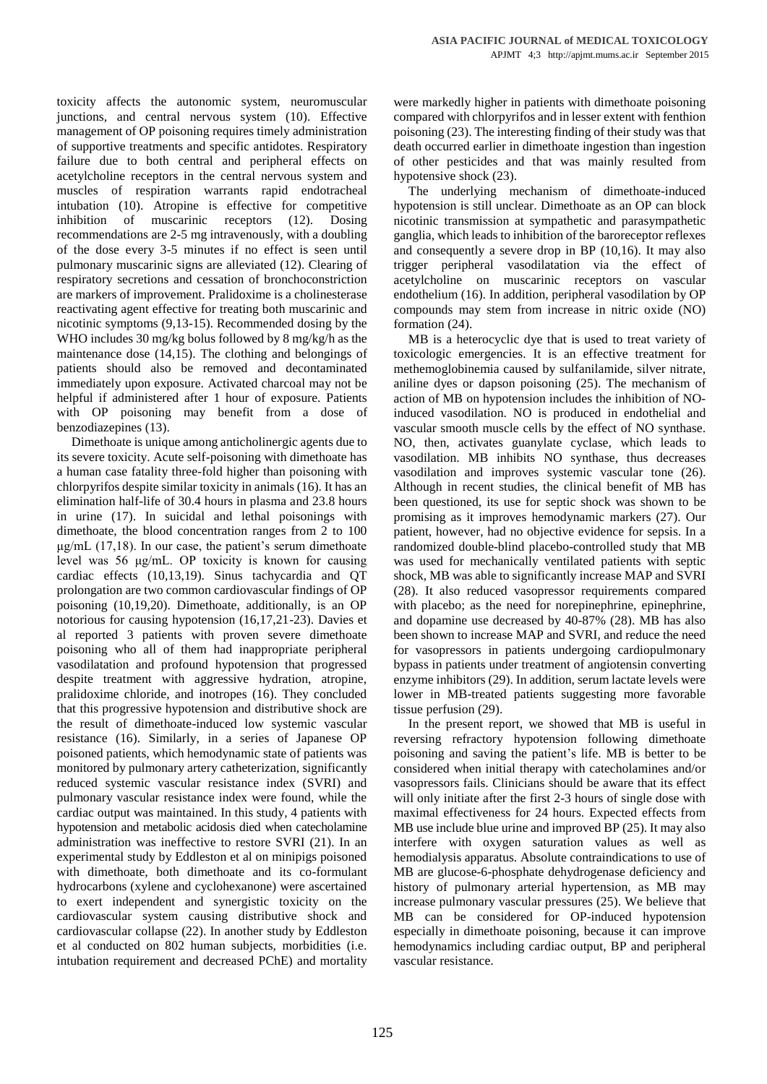toxicity affects the autonomic system, neuromuscular junctions, and central nervous system (10). Effective management of OP poisoning requires timely administration of supportive treatments and specific antidotes. Respiratory failure due to both central and peripheral effects on acetylcholine receptors in the central nervous system and muscles of respiration warrants rapid endotracheal intubation (10). Atropine is effective for competitive inhibition of muscarinic receptors (12). Dosing recommendations are 2-5 mg intravenously, with a doubling of the dose every 3-5 minutes if no effect is seen until pulmonary muscarinic signs are alleviated (12). Clearing of respiratory secretions and cessation of bronchoconstriction are markers of improvement. Pralidoxime is a cholinesterase reactivating agent effective for treating both muscarinic and nicotinic symptoms (9,13-15). Recommended dosing by the WHO includes 30 mg/kg bolus followed by 8 mg/kg/h as the maintenance dose (14,15). The clothing and belongings of patients should also be removed and decontaminated immediately upon exposure. Activated charcoal may not be helpful if administered after 1 hour of exposure. Patients with OP poisoning may benefit from a dose of benzodiazepines (13).

Dimethoate is unique among anticholinergic agents due to its severe toxicity. Acute self-poisoning with dimethoate has a human case fatality three-fold higher than poisoning with chlorpyrifos despite similar toxicity in animals (16). It has an elimination half-life of 30.4 hours in plasma and 23.8 hours in urine (17). In suicidal and lethal poisonings with dimethoate, the blood concentration ranges from 2 to 100 μg/mL (17,18). In our case, the patient's serum dimethoate level was 56 μg/mL. OP toxicity is known for causing cardiac effects (10,13,19). Sinus tachycardia and QT prolongation are two common cardiovascular findings of OP poisoning (10,19,20). Dimethoate, additionally, is an OP notorious for causing hypotension (16,17,21-23). Davies et al reported 3 patients with proven severe dimethoate poisoning who all of them had inappropriate peripheral vasodilatation and profound hypotension that progressed despite treatment with aggressive hydration, atropine, pralidoxime chloride, and inotropes (16). They concluded that this progressive hypotension and distributive shock are the result of dimethoate-induced low systemic vascular resistance (16). Similarly, in a series of Japanese OP poisoned patients, which hemodynamic state of patients was monitored by pulmonary artery catheterization, significantly reduced systemic vascular resistance index (SVRI) and pulmonary vascular resistance index were found, while the cardiac output was maintained. In this study, 4 patients with hypotension and metabolic acidosis died when catecholamine administration was ineffective to restore SVRI (21). In an experimental study by Eddleston et al on minipigs poisoned with dimethoate, both dimethoate and its co-formulant hydrocarbons (xylene and cyclohexanone) were ascertained to exert independent and synergistic toxicity on the cardiovascular system causing distributive shock and cardiovascular collapse (22). In another study by Eddleston et al conducted on 802 human subjects, morbidities (i.e. intubation requirement and decreased PChE) and mortality

were markedly higher in patients with dimethoate poisoning compared with chlorpyrifos and in lesser extent with fenthion poisoning (23). The interesting finding of their study was that death occurred earlier in dimethoate ingestion than ingestion of other pesticides and that was mainly resulted from hypotensive shock (23).

The underlying mechanism of dimethoate-induced hypotension is still unclear. Dimethoate as an OP can block nicotinic transmission at sympathetic and parasympathetic ganglia, which leads to inhibition of the baroreceptor reflexes and consequently a severe drop in BP (10,16). It may also trigger peripheral vasodilatation via the effect of acetylcholine on muscarinic receptors on vascular endothelium (16). In addition, peripheral vasodilation by OP compounds may stem from increase in nitric oxide (NO) formation (24).

MB is a heterocyclic dye that is used to treat variety of toxicologic emergencies. It is an effective treatment for methemoglobinemia caused by sulfanilamide, silver nitrate, aniline dyes or dapson poisoning (25). The mechanism of action of MB on hypotension includes the inhibition of NOinduced vasodilation. NO is produced in endothelial and vascular smooth muscle cells by the effect of NO synthase. NO, then, activates guanylate cyclase, which leads to vasodilation. MB inhibits NO synthase, thus decreases vasodilation and improves systemic vascular tone (26). Although in recent studies, the clinical benefit of MB has been questioned, its use for septic shock was shown to be promising as it improves hemodynamic markers (27). Our patient, however, had no objective evidence for sepsis. In a randomized double-blind placebo-controlled study that MB was used for mechanically ventilated patients with septic shock, MB was able to significantly increase MAP and SVRI (28). It also reduced vasopressor requirements compared with placebo; as the need for norepinephrine, epinephrine, and dopamine use decreased by 40-87% (28). MB has also been shown to increase MAP and SVRI, and reduce the need for vasopressors in patients undergoing cardiopulmonary bypass in patients under treatment of angiotensin converting enzyme inhibitors (29). In addition, serum lactate levels were lower in MB-treated patients suggesting more favorable tissue perfusion (29).

In the present report, we showed that MB is useful in reversing refractory hypotension following dimethoate poisoning and saving the patient's life. MB is better to be considered when initial therapy with catecholamines and/or vasopressors fails. Clinicians should be aware that its effect will only initiate after the first 2-3 hours of single dose with maximal effectiveness for 24 hours. Expected effects from MB use include blue urine and improved BP (25). It may also interfere with oxygen saturation values as well as hemodialysis apparatus. Absolute contraindications to use of MB are glucose-6-phosphate dehydrogenase deficiency and history of pulmonary arterial hypertension, as MB may increase pulmonary vascular pressures (25). We believe that MB can be considered for OP-induced hypotension especially in dimethoate poisoning, because it can improve hemodynamics including cardiac output, BP and peripheral vascular resistance.